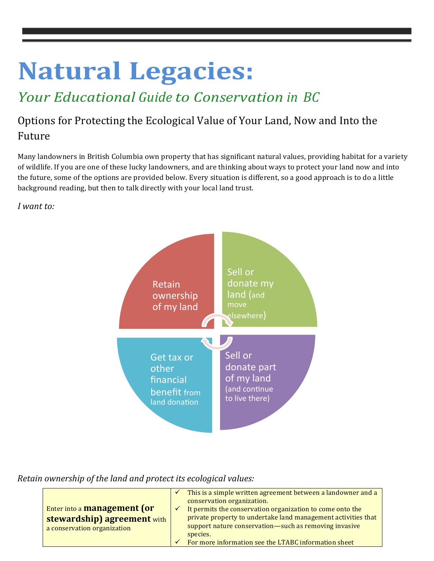# **Natural Legacies:**

## *Your Educational Guide to Conservation in BC*

### Options for Protecting the Ecological Value of Your Land, Now and Into the Future

Many landowners in British Columbia own property that has significant natural values, providing habitat for a variety of wildlife. If you are one of these lucky landowners, and are thinking about ways to protect your land now and into the future, some of the options are provided below. Every situation is different, so a good approach is to do a little background reading, but then to talk directly with your local land trust.

*I want to:*



*Retain ownership of the land and protect its ecological values:* 

|                                    |   | This is a simple written agreement between a landowner and a  |
|------------------------------------|---|---------------------------------------------------------------|
|                                    |   | conservation organization.                                    |
| Enter into a <b>management</b> (or | ✓ | It permits the conservation organization to come onto the     |
| <b>stewardship) agreement with</b> |   | private property to undertake land management activities that |
| a conservation organization        |   | support nature conservation-such as removing invasive         |
|                                    |   | species.                                                      |
|                                    |   | For more information see the LTABC information sheet          |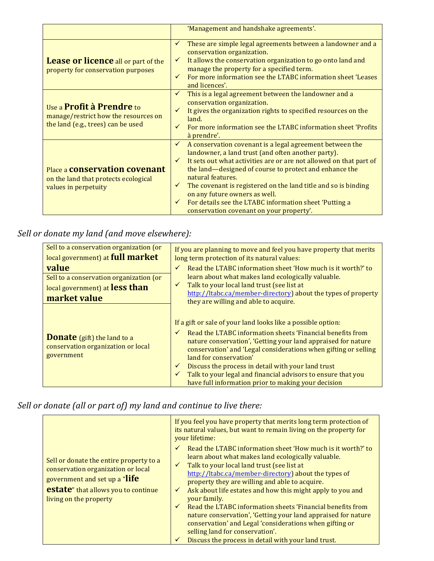|                                                                                                                | 'Management and handshake agreements'.                                                                                                                                                                                                                                                                                                                                                                                                                                                                       |
|----------------------------------------------------------------------------------------------------------------|--------------------------------------------------------------------------------------------------------------------------------------------------------------------------------------------------------------------------------------------------------------------------------------------------------------------------------------------------------------------------------------------------------------------------------------------------------------------------------------------------------------|
| <b>Lease or licence</b> all or part of the<br>property for conservation purposes                               | These are simple legal agreements between a landowner and a<br>$\checkmark$<br>conservation organization.<br>It allows the conservation organization to go onto land and<br>$\checkmark$<br>manage the property for a specified term.<br>For more information see the LTABC information sheet 'Leases<br>$\checkmark$<br>and licences'.                                                                                                                                                                      |
| Use a <b>Profit à Prendre</b> to<br>manage/restrict how the resources on<br>the land (e.g., trees) can be used | This is a legal agreement between the landowner and a<br>conservation organization.<br>It gives the organization rights to specified resources on the<br>$\checkmark$<br>land.<br>For more information see the LTABC information sheet 'Profits<br>à prendre'.                                                                                                                                                                                                                                               |
| Place a <b>conservation covenant</b><br>on the land that protects ecological<br>values in perpetuity           | A conservation covenant is a legal agreement between the<br>$\checkmark$<br>landowner, a land trust (and often another party).<br>It sets out what activities are or are not allowed on that part of<br>the land—designed of course to protect and enhance the<br>natural features.<br>The covenant is registered on the land title and so is binding<br>$\checkmark$<br>on any future owners as well.<br>For details see the LTABC information sheet 'Putting a<br>conservation covenant on your property'. |

#### Sell or donate my land (and move elsewhere):

| Sell to a conservation organization (or<br>local government) at full market            | If you are planning to move and feel you have property that merits<br>long term protection of its natural values:                                                                                                                                                                                                                                                                                                                                                                                                     |
|----------------------------------------------------------------------------------------|-----------------------------------------------------------------------------------------------------------------------------------------------------------------------------------------------------------------------------------------------------------------------------------------------------------------------------------------------------------------------------------------------------------------------------------------------------------------------------------------------------------------------|
| value<br>Sell to a conservation organization (or<br>local government) at less than     | Read the LTABC information sheet 'How much is it worth?' to<br>$\checkmark$<br>learn about what makes land ecologically valuable.<br>Talk to your local land trust (see list at<br>$\checkmark$                                                                                                                                                                                                                                                                                                                       |
| market value                                                                           | http://ltabc.ca/member-directory) about the types of property<br>they are willing and able to acquire.                                                                                                                                                                                                                                                                                                                                                                                                                |
| <b>Donate</b> (gift) the land to a<br>conservation organization or local<br>government | If a gift or sale of your land looks like a possible option:<br>Read the LTABC information sheets 'Financial benefits from<br>$\checkmark$<br>nature conservation', 'Getting your land appraised for nature<br>conservation' and 'Legal considerations when gifting or selling<br>land for conservation'<br>Discuss the process in detail with your land trust<br>$\checkmark$<br>Talk to your legal and financial advisors to ensure that you<br>$\checkmark$<br>have full information prior to making your decision |

#### Sell or donate (all or part of) my land and continue to live there:

|                                                                                                                                                                                          | If you feel you have property that merits long term protection of<br>its natural values, but want to remain living on the property for<br>your lifetime:                                                                                                                                                                                                                                                                                                                                                                                                                                                                                                                                                    |
|------------------------------------------------------------------------------------------------------------------------------------------------------------------------------------------|-------------------------------------------------------------------------------------------------------------------------------------------------------------------------------------------------------------------------------------------------------------------------------------------------------------------------------------------------------------------------------------------------------------------------------------------------------------------------------------------------------------------------------------------------------------------------------------------------------------------------------------------------------------------------------------------------------------|
| Sell or donate the entire property to a<br>conservation organization or local<br>government and set up a "life"<br><b>estate</b> " that allows you to continue<br>living on the property | Read the LTABC information sheet 'How much is it worth?' to<br>$\checkmark$<br>learn about what makes land ecologically valuable.<br>Talk to your local land trust (see list at<br>$\checkmark$<br>http://ltabc.ca/member-directory) about the types of<br>property they are willing and able to acquire.<br>Ask about life estates and how this might apply to you and<br>$\checkmark$<br>your family.<br>Read the LTABC information sheets 'Financial benefits from<br>$\checkmark$<br>nature conservation', 'Getting your land appraised for nature<br>conservation' and Legal 'considerations when gifting or<br>selling land for conservation'.<br>Discuss the process in detail with your land trust. |